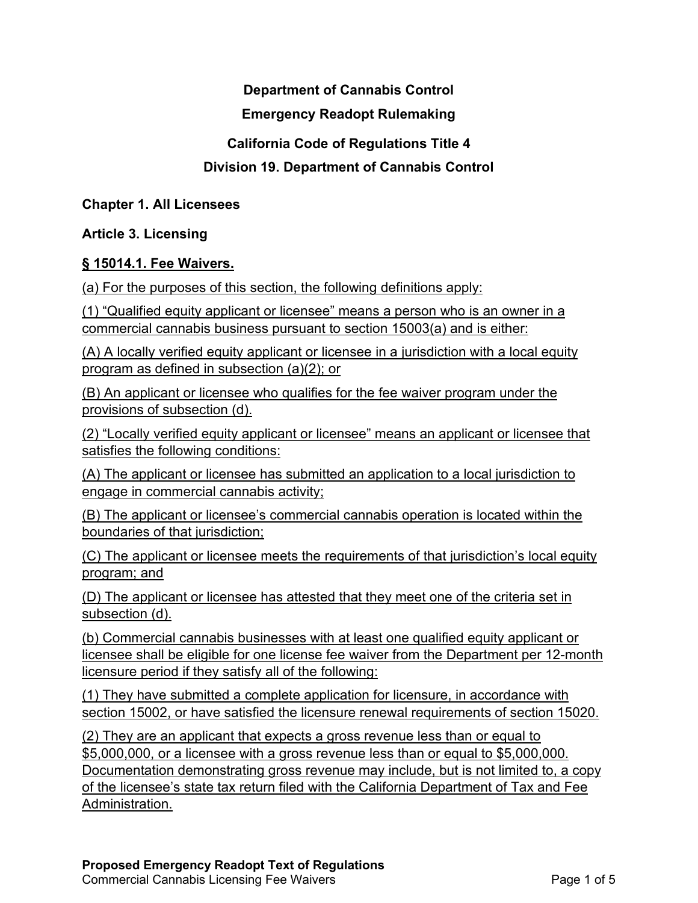## **Department of Cannabis Control**

### **Emergency Readopt Rulemaking**

### **California Code of Regulations Title 4**

# **Division 19. Department of Cannabis Control**

**Chapter 1. All Licensees**

**Article 3. Licensing**

#### **§ 15014.1. Fee Waivers.**

(a) For the purposes of this section, the following definitions apply:

(1) "Qualified equity applicant or licensee" means a person who is an owner in a commercial cannabis business pursuant to section 15003(a) and is either:

(A) A locally verified equity applicant or licensee in a jurisdiction with a local equity program as defined in subsection (a)(2); or

(B) An applicant or licensee who qualifies for the fee waiver program under the provisions of subsection (d).

(2) "Locally verified equity applicant or licensee" means an applicant or licensee that satisfies the following conditions:

(A) The applicant or licensee has submitted an application to a local jurisdiction to engage in commercial cannabis activity;

(B) The applicant or licensee's commercial cannabis operation is located within the boundaries of that jurisdiction;

(C) The applicant or licensee meets the requirements of that jurisdiction's local equity program; and

(D) The applicant or licensee has attested that they meet one of the criteria set in subsection (d).

(b) Commercial cannabis businesses with at least one qualified equity applicant or licensee shall be eligible for one license fee waiver from the Department per 12-month licensure period if they satisfy all of the following:

(1) They have submitted a complete application for licensure, in accordance with section 15002, or have satisfied the licensure renewal requirements of section 15020.

(2) They are an applicant that expects a gross revenue less than or equal to \$5,000,000, or a licensee with a gross revenue less than or equal to \$5,000,000. Documentation demonstrating gross revenue may include, but is not limited to, a copy of the licensee's state tax return filed with the California Department of Tax and Fee Administration.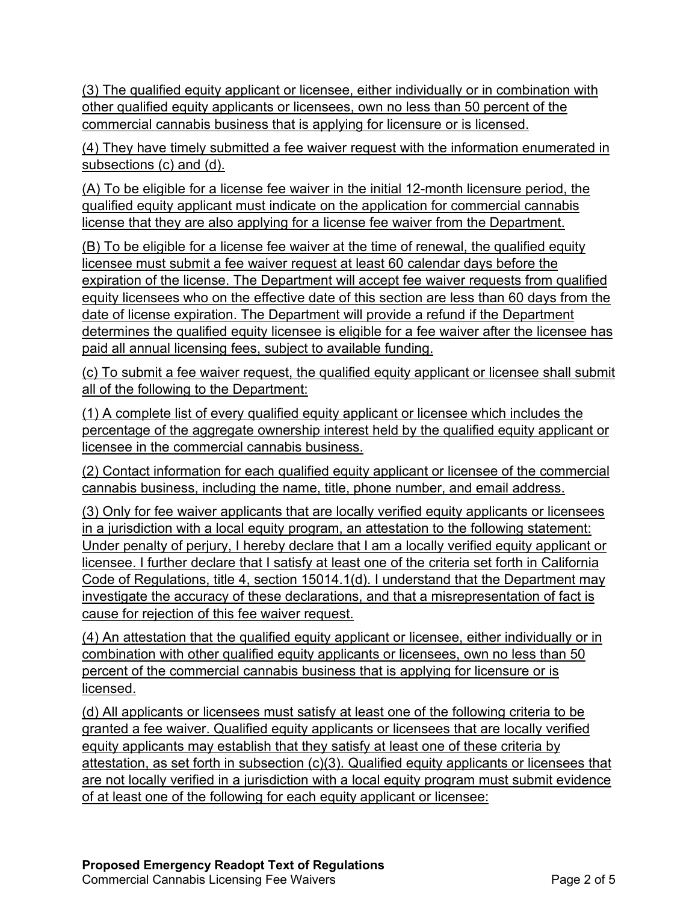(3) The qualified equity applicant or licensee, either individually or in combination with other qualified equity applicants or licensees, own no less than 50 percent of the commercial cannabis business that is applying for licensure or is licensed.

(4) They have timely submitted a fee waiver request with the information enumerated in subsections (c) and (d).

(A) To be eligible for a license fee waiver in the initial 12-month licensure period, the qualified equity applicant must indicate on the application for commercial cannabis license that they are also applying for a license fee waiver from the Department.

(B) To be eligible for a license fee waiver at the time of renewal, the qualified equity licensee must submit a fee waiver request at least 60 calendar days before the expiration of the license. The Department will accept fee waiver requests from qualified equity licensees who on the effective date of this section are less than 60 days from the date of license expiration. The Department will provide a refund if the Department determines the qualified equity licensee is eligible for a fee waiver after the licensee has paid all annual licensing fees, subject to available funding.

(c) To submit a fee waiver request, the qualified equity applicant or licensee shall submit all of the following to the Department:

(1) A complete list of every qualified equity applicant or licensee which includes the percentage of the aggregate ownership interest held by the qualified equity applicant or licensee in the commercial cannabis business.

(2) Contact information for each qualified equity applicant or licensee of the commercial cannabis business, including the name, title, phone number, and email address.

(3) Only for fee waiver applicants that are locally verified equity applicants or licensees in a jurisdiction with a local equity program, an attestation to the following statement: Under penalty of perjury, I hereby declare that I am a locally verified equity applicant or licensee. I further declare that I satisfy at least one of the criteria set forth in California Code of Regulations, title 4, section 15014.1(d). I understand that the Department may investigate the accuracy of these declarations, and that a misrepresentation of fact is cause for rejection of this fee waiver request.

(4) An attestation that the qualified equity applicant or licensee, either individually or in combination with other qualified equity applicants or licensees, own no less than 50 percent of the commercial cannabis business that is applying for licensure or is licensed.

(d) All applicants or licensees must satisfy at least one of the following criteria to be granted a fee waiver. Qualified equity applicants or licensees that are locally verified equity applicants may establish that they satisfy at least one of these criteria by attestation, as set forth in subsection (c)(3). Qualified equity applicants or licensees that are not locally verified in a jurisdiction with a local equity program must submit evidence of at least one of the following for each equity applicant or licensee: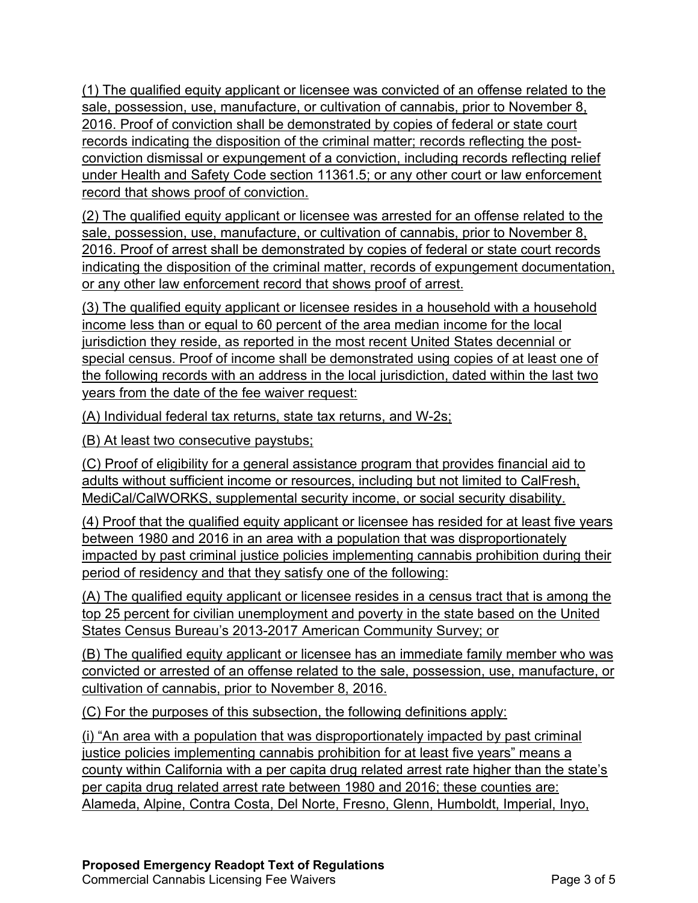(1) The qualified equity applicant or licensee was convicted of an offense related to the sale, possession, use, manufacture, or cultivation of cannabis, prior to November 8, 2016. Proof of conviction shall be demonstrated by copies of federal or state court records indicating the disposition of the criminal matter; records reflecting the postconviction dismissal or expungement of a conviction, including records reflecting relief under Health and Safety Code section 11361.5; or any other court or law enforcement record that shows proof of conviction.

(2) The qualified equity applicant or licensee was arrested for an offense related to the sale, possession, use, manufacture, or cultivation of cannabis, prior to November 8, 2016. Proof of arrest shall be demonstrated by copies of federal or state court records indicating the disposition of the criminal matter, records of expungement documentation, or any other law enforcement record that shows proof of arrest.

(3) The qualified equity applicant or licensee resides in a household with a household income less than or equal to 60 percent of the area median income for the local jurisdiction they reside, as reported in the most recent United States decennial or special census. Proof of income shall be demonstrated using copies of at least one of the following records with an address in the local jurisdiction, dated within the last two years from the date of the fee waiver request:

(A) Individual federal tax returns, state tax returns, and W-2s;

(B) At least two consecutive paystubs;

(C) Proof of eligibility for a general assistance program that provides financial aid to adults without sufficient income or resources, including but not limited to CalFresh, MediCal/CalWORKS, supplemental security income, or social security disability.

(4) Proof that the qualified equity applicant or licensee has resided for at least five years between 1980 and 2016 in an area with a population that was disproportionately impacted by past criminal justice policies implementing cannabis prohibition during their period of residency and that they satisfy one of the following:

(A) The qualified equity applicant or licensee resides in a census tract that is among the top 25 percent for civilian unemployment and poverty in the state based on the United States Census Bureau's 2013-2017 American Community Survey; or

(B) The qualified equity applicant or licensee has an immediate family member who was convicted or arrested of an offense related to the sale, possession, use, manufacture, or cultivation of cannabis, prior to November 8, 2016.

(C) For the purposes of this subsection, the following definitions apply:

(i) "An area with a population that was disproportionately impacted by past criminal justice policies implementing cannabis prohibition for at least five years" means a county within California with a per capita drug related arrest rate higher than the state's per capita drug related arrest rate between 1980 and 2016; these counties are: Alameda, Alpine, Contra Costa, Del Norte, Fresno, Glenn, Humboldt, Imperial, Inyo,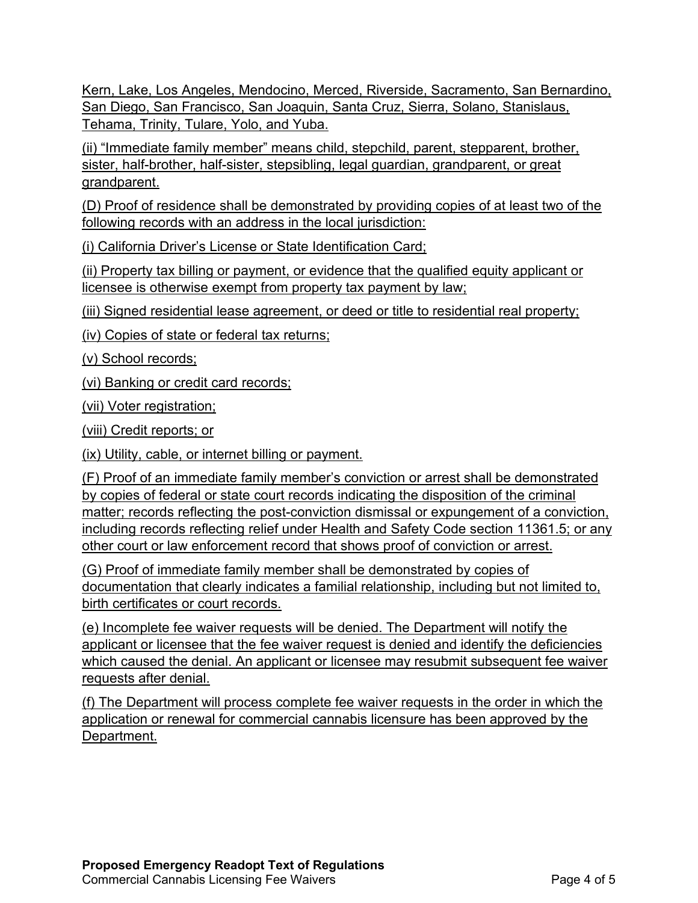Kern, Lake, Los Angeles, Mendocino, Merced, Riverside, Sacramento, San Bernardino, San Diego, San Francisco, San Joaquin, Santa Cruz, Sierra, Solano, Stanislaus, Tehama, Trinity, Tulare, Yolo, and Yuba.

(ii) "Immediate family member" means child, stepchild, parent, stepparent, brother, sister, half-brother, half-sister, stepsibling, legal guardian, grandparent, or great grandparent.

(D) Proof of residence shall be demonstrated by providing copies of at least two of the following records with an address in the local jurisdiction:

(i) California Driver's License or State Identification Card;

(ii) Property tax billing or payment, or evidence that the qualified equity applicant or licensee is otherwise exempt from property tax payment by law;

(iii) Signed residential lease agreement, or deed or title to residential real property;

(iv) Copies of state or federal tax returns;

(v) School records;

(vi) Banking or credit card records;

(vii) Voter registration;

(viii) Credit reports; or

(ix) Utility, cable, or internet billing or payment.

(F) Proof of an immediate family member's conviction or arrest shall be demonstrated by copies of federal or state court records indicating the disposition of the criminal matter; records reflecting the post-conviction dismissal or expungement of a conviction, including records reflecting relief under Health and Safety Code section 11361.5; or any other court or law enforcement record that shows proof of conviction or arrest.

(G) Proof of immediate family member shall be demonstrated by copies of documentation that clearly indicates a familial relationship, including but not limited to, birth certificates or court records.

(e) Incomplete fee waiver requests will be denied. The Department will notify the applicant or licensee that the fee waiver request is denied and identify the deficiencies which caused the denial. An applicant or licensee may resubmit subsequent fee waiver requests after denial.

(f) The Department will process complete fee waiver requests in the order in which the application or renewal for commercial cannabis licensure has been approved by the Department.